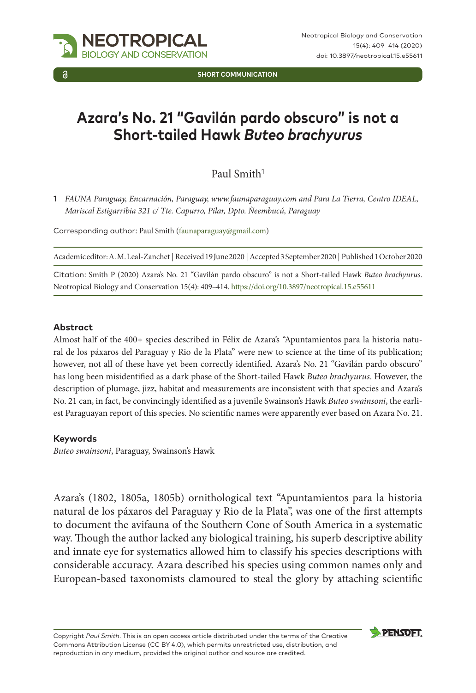

**SHORT COMMUNICATION**

# **Azara's No. 21 "Gavilán pardo obscuro" is not a Short-tailed Hawk** *Buteo brachyurus*

Paul Smith<sup>1</sup>

1 *FAUNA Paraguay, Encarnación, Paraguay, www.faunaparaguay.com and Para La Tierra, Centro IDEAL, Mariscal Estigarribia 321 c/ Tte. Capurro, Pilar, Dpto. Ñeembucú, Paraguay*

Corresponding author: Paul Smith ([faunaparaguay@gmail.com\)](mailto:faunaparaguay@gmail.com)

Academic editor: A. M. Leal-Zanchet | Received 19 June 2020 | Accepted 3 September 2020 | Published 1 October 2020

Citation: Smith P (2020) Azara's No. 21 "Gavilán pardo obscuro" is not a Short-tailed Hawk *Buteo brachyurus*. Neotropical Biology and Conservation 15(4): 409–414.<https://doi.org/10.3897/neotropical.15.e55611>

#### **Abstract**

Almost half of the 400+ species described in Félix de Azara's "Apuntamientos para la historia natural de los páxaros del Paraguay y Rio de la Plata" were new to science at the time of its publication; however, not all of these have yet been correctly identified. Azara's No. 21 "Gavilán pardo obscuro" has long been misidentified as a dark phase of the Short-tailed Hawk *Buteo brachyurus*. However, the description of plumage, jizz, habitat and measurements are inconsistent with that species and Azara's No. 21 can, in fact, be convincingly identified as a juvenile Swainson's Hawk *Buteo swainsoni*, the earliest Paraguayan report of this species. No scientific names were apparently ever based on Azara No. 21.

#### **Keywords**

*Buteo swainsoni*, Paraguay, Swainson's Hawk

Azara's (1802, 1805a, 1805b) ornithological text "Apuntamientos para la historia natural de los páxaros del Paraguay y Rio de la Plata", was one of the first attempts to document the avifauna of the Southern Cone of South America in a systematic way. Though the author lacked any biological training, his superb descriptive ability and innate eye for systematics allowed him to classify his species descriptions with considerable accuracy. Azara described his species using common names only and European-based taxonomists clamoured to steal the glory by attaching scientific

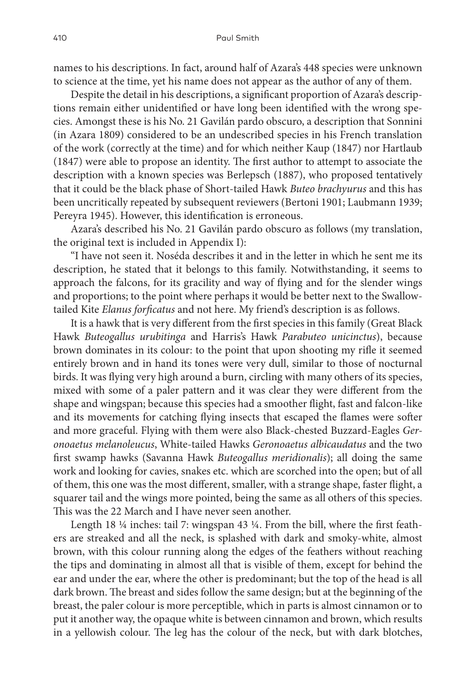names to his descriptions. In fact, around half of Azara's 448 species were unknown to science at the time, yet his name does not appear as the author of any of them.

Despite the detail in his descriptions, a significant proportion of Azara's descriptions remain either unidentified or have long been identified with the wrong species. Amongst these is his No. 21 Gavilán pardo obscuro, a description that Sonnini (in Azara 1809) considered to be an undescribed species in his French translation of the work (correctly at the time) and for which neither Kaup (1847) nor Hartlaub (1847) were able to propose an identity. The first author to attempt to associate the description with a known species was Berlepsch (1887), who proposed tentatively that it could be the black phase of Short-tailed Hawk *Buteo brachyurus* and this has been uncritically repeated by subsequent reviewers (Bertoni 1901; Laubmann 1939; Pereyra 1945). However, this identification is erroneous.

Azara's described his No. 21 Gavilán pardo obscuro as follows (my translation, the original text is included in Appendix I):

"I have not seen it. Noséda describes it and in the letter in which he sent me its description, he stated that it belongs to this family. Notwithstanding, it seems to approach the falcons, for its gracility and way of flying and for the slender wings and proportions; to the point where perhaps it would be better next to the Swallowtailed Kite *Elanus forficatus* and not here. My friend's description is as follows.

It is a hawk that is very different from the first species in this family (Great Black Hawk *Buteogallus urubitinga* and Harris's Hawk *Parabuteo unicinctus*), because brown dominates in its colour: to the point that upon shooting my rifle it seemed entirely brown and in hand its tones were very dull, similar to those of nocturnal birds. It was flying very high around a burn, circling with many others of its species, mixed with some of a paler pattern and it was clear they were different from the shape and wingspan; because this species had a smoother flight, fast and falcon-like and its movements for catching flying insects that escaped the flames were softer and more graceful. Flying with them were also Black-chested Buzzard-Eagles *Geronoaetus melanoleucus*, White-tailed Hawks *Geronoaetus albicaudatus* and the two first swamp hawks (Savanna Hawk *Buteogallus meridionalis*); all doing the same work and looking for cavies, snakes etc. which are scorched into the open; but of all of them, this one was the most different, smaller, with a strange shape, faster flight, a squarer tail and the wings more pointed, being the same as all others of this species. This was the 22 March and I have never seen another.

Length 18 ¼ inches: tail 7: wingspan 43 ¼. From the bill, where the first feathers are streaked and all the neck, is splashed with dark and smoky-white, almost brown, with this colour running along the edges of the feathers without reaching the tips and dominating in almost all that is visible of them, except for behind the ear and under the ear, where the other is predominant; but the top of the head is all dark brown. The breast and sides follow the same design; but at the beginning of the breast, the paler colour is more perceptible, which in parts is almost cinnamon or to put it another way, the opaque white is between cinnamon and brown, which results in a yellowish colour. The leg has the colour of the neck, but with dark blotches,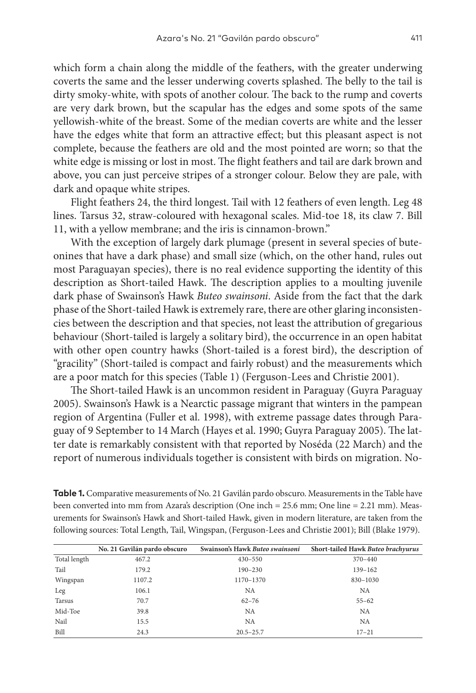which form a chain along the middle of the feathers, with the greater underwing coverts the same and the lesser underwing coverts splashed. The belly to the tail is dirty smoky-white, with spots of another colour. The back to the rump and coverts are very dark brown, but the scapular has the edges and some spots of the same yellowish-white of the breast. Some of the median coverts are white and the lesser have the edges white that form an attractive effect; but this pleasant aspect is not complete, because the feathers are old and the most pointed are worn; so that the white edge is missing or lost in most. The flight feathers and tail are dark brown and above, you can just perceive stripes of a stronger colour. Below they are pale, with dark and opaque white stripes.

Flight feathers 24, the third longest. Tail with 12 feathers of even length. Leg 48 lines. Tarsus 32, straw-coloured with hexagonal scales. Mid-toe 18, its claw 7. Bill 11, with a yellow membrane; and the iris is cinnamon-brown."

With the exception of largely dark plumage (present in several species of buteonines that have a dark phase) and small size (which, on the other hand, rules out most Paraguayan species), there is no real evidence supporting the identity of this description as Short-tailed Hawk. The description applies to a moulting juvenile dark phase of Swainson's Hawk *Buteo swainsoni*. Aside from the fact that the dark phase of the Short-tailed Hawk is extremely rare, there are other glaring inconsistencies between the description and that species, not least the attribution of gregarious behaviour (Short-tailed is largely a solitary bird), the occurrence in an open habitat with other open country hawks (Short-tailed is a forest bird), the description of "gracility" (Short-tailed is compact and fairly robust) and the measurements which are a poor match for this species (Table 1) (Ferguson-Lees and Christie 2001).

The Short-tailed Hawk is an uncommon resident in Paraguay (Guyra Paraguay 2005). Swainson's Hawk is a Nearctic passage migrant that winters in the pampean region of Argentina (Fuller et al. 1998), with extreme passage dates through Paraguay of 9 September to 14 March (Hayes et al. 1990; Guyra Paraguay 2005). The latter date is remarkably consistent with that reported by Noséda (22 March) and the report of numerous individuals together is consistent with birds on migration. No-

| Table 1. Comparative measurements of No. 21 Gavilán pardo obscuro. Measurements in the Table have      |
|--------------------------------------------------------------------------------------------------------|
| been converted into mm from Azara's description (One inch = 25.6 mm; One line = 2.21 mm). Meas-        |
| urements for Swainson's Hawk and Short-tailed Hawk, given in modern literature, are taken from the     |
| following sources: Total Length, Tail, Wingspan, (Ferguson-Lees and Christie 2001); Bill (Blake 1979). |

|              | No. 21 Gavilán pardo obscuro | Swainson's Hawk Buteo swainsoni | Short-tailed Hawk Buteo brachyurus |
|--------------|------------------------------|---------------------------------|------------------------------------|
| Total length | 467.2                        | $430 - 550$                     | $370 - 440$                        |
| Tail         | 179.2                        | $190 - 230$                     | 139-162                            |
| Wingspan     | 1107.2                       | 1170-1370                       | 830-1030                           |
| Leg          | 106.1                        | NA                              | NA                                 |
| Tarsus       | 70.7                         | $62 - 76$                       | $55 - 62$                          |
| Mid-Toe      | 39.8                         | NA                              | <b>NA</b>                          |
| Nail         | 15.5                         | <b>NA</b>                       | NA                                 |
| Bill         | 24.3                         | $20.5 - 25.7$                   | $17 - 21$                          |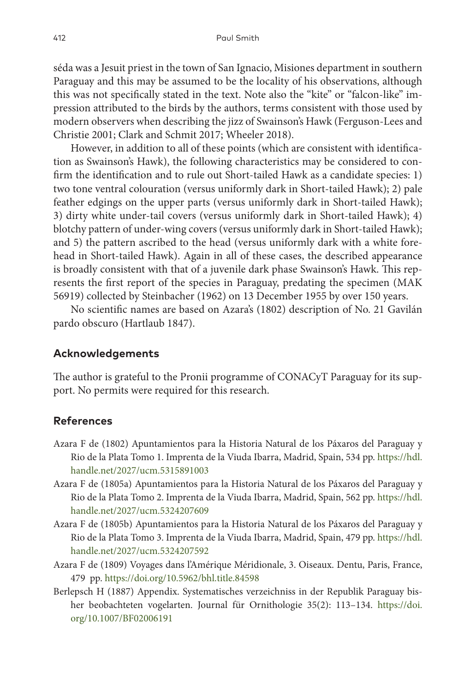séda was a Jesuit priest in the town of San Ignacio, Misiones department in southern Paraguay and this may be assumed to be the locality of his observations, although this was not specifically stated in the text. Note also the "kite" or "falcon-like" impression attributed to the birds by the authors, terms consistent with those used by modern observers when describing the jizz of Swainson's Hawk (Ferguson-Lees and Christie 2001; Clark and Schmit 2017; Wheeler 2018).

However, in addition to all of these points (which are consistent with identification as Swainson's Hawk), the following characteristics may be considered to confirm the identification and to rule out Short-tailed Hawk as a candidate species: 1) two tone ventral colouration (versus uniformly dark in Short-tailed Hawk); 2) pale feather edgings on the upper parts (versus uniformly dark in Short-tailed Hawk); 3) dirty white under-tail covers (versus uniformly dark in Short-tailed Hawk); 4) blotchy pattern of under-wing covers (versus uniformly dark in Short-tailed Hawk); and 5) the pattern ascribed to the head (versus uniformly dark with a white forehead in Short-tailed Hawk). Again in all of these cases, the described appearance is broadly consistent with that of a juvenile dark phase Swainson's Hawk. This represents the first report of the species in Paraguay, predating the specimen (MAK 56919) collected by Steinbacher (1962) on 13 December 1955 by over 150 years.

No scientific names are based on Azara's (1802) description of No. 21 Gavilán pardo obscuro (Hartlaub 1847).

## **Acknowledgements**

The author is grateful to the Pronii programme of CONACyT Paraguay for its support. No permits were required for this research.

## **References**

- Azara F de (1802) Apuntamientos para la Historia Natural de los Páxaros del Paraguay y Rio de la Plata Tomo 1. Imprenta de la Viuda Ibarra, Madrid, Spain, 534 pp. [https://hdl.](https://hdl.handle.net/2027/ucm.5315891003) [handle.net/2027/ucm.5315891003](https://hdl.handle.net/2027/ucm.5315891003)
- Azara F de (1805a) Apuntamientos para la Historia Natural de los Páxaros del Paraguay y Rio de la Plata Tomo 2. Imprenta de la Viuda Ibarra, Madrid, Spain, 562 pp. [https://hdl.](https://hdl.handle.net/2027/ucm.5324207609) [handle.net/2027/ucm.5324207609](https://hdl.handle.net/2027/ucm.5324207609)
- Azara F de (1805b) Apuntamientos para la Historia Natural de los Páxaros del Paraguay y Rio de la Plata Tomo 3. Imprenta de la Viuda Ibarra, Madrid, Spain, 479 pp. [https://hdl.](https://hdl.handle.net/2027/ucm.5324207592) [handle.net/2027/ucm.5324207592](https://hdl.handle.net/2027/ucm.5324207592)
- Azara F de (1809) Voyages dans l'Amérique Méridionale, 3. Oiseaux. Dentu, Paris, France, 479 pp.<https://doi.org/10.5962/bhl.title.84598>
- Berlepsch H (1887) Appendix. Systematisches verzeichniss in der Republik Paraguay bisher beobachteten vogelarten. Journal für Ornithologie 35(2): 113–134. [https://doi.](https://doi.org/10.1007/BF02006191) [org/10.1007/BF02006191](https://doi.org/10.1007/BF02006191)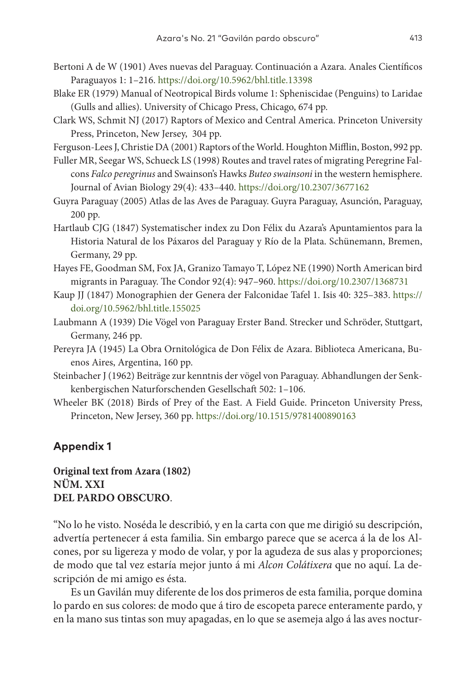- Bertoni A de W (1901) Aves nuevas del Paraguay. Continuación a Azara. Anales Científicos Paraguayos 1: 1–216.<https://doi.org/10.5962/bhl.title.13398>
- Blake ER (1979) Manual of Neotropical Birds volume 1: Spheniscidae (Penguins) to Laridae (Gulls and allies). University of Chicago Press, Chicago, 674 pp.
- Clark WS, Schmit NJ (2017) Raptors of Mexico and Central America. Princeton University Press, Princeton, New Jersey, 304 pp.
- Ferguson-Lees J, Christie DA (2001) Raptors of the World. Houghton Mifflin, Boston, 992 pp.
- Fuller MR, Seegar WS, Schueck LS (1998) Routes and travel rates of migrating Peregrine Falcons *Falco peregrinus* and Swainson's Hawks *Buteo swainsoni* in the western hemisphere. Journal of Avian Biology 29(4): 433–440.<https://doi.org/10.2307/3677162>
- Guyra Paraguay (2005) Atlas de las Aves de Paraguay. Guyra Paraguay, Asunción, Paraguay, 200 pp.
- Hartlaub CJG (1847) Systematischer index zu Don Félix du Azara's Apuntamientos para la Historia Natural de los Páxaros del Paraguay y Río de la Plata. Schünemann, Bremen, Germany, 29 pp.
- Hayes FE, Goodman SM, Fox JA, Granizo Tamayo T, López NE (1990) North American bird migrants in Paraguay. The Condor 92(4): 947–960.<https://doi.org/10.2307/1368731>
- Kaup JJ (1847) Monographien der Genera der Falconidae Tafel 1. Isis 40: 325–383. [https://](https://doi.org/10.5962/bhl.title.155025) [doi.org/10.5962/bhl.title.155025](https://doi.org/10.5962/bhl.title.155025)
- Laubmann A (1939) Die Vögel von Paraguay Erster Band. Strecker und Schröder, Stuttgart, Germany, 246 pp.
- Pereyra JA (1945) La Obra Ornitológica de Don Félix de Azara. Biblioteca Americana, Buenos Aires, Argentina, 160 pp.
- Steinbacher J (1962) Beiträge zur kenntnis der vögel von Paraguay. Abhandlungen der Senkkenbergischen Naturforschenden Gesellschaft 502: 1–106.
- Wheeler BK (2018) Birds of Prey of the East. A Field Guide. Princeton University Press, Princeton, New Jersey, 360 pp. <https://doi.org/10.1515/9781400890163>

# **Appendix 1**

# **Original text from Azara (1802) NÜM. XXI DEL PARDO OBSCURO**.

"Nо lo he visto. Noséda le describió, y en la carta con que me dirigió su descripción, advertía pertenecer á esta familia. Sin embargo parece que se acerca á la de los Alcones, por su ligereza y modo de volar, y por la agudeza de sus alas y proporciones; de modo que tal vez estaría mejor junto á mi *Alcon Colátixera* que no aquí. La descripción de mi amigo es ésta.

Es un Gavilán muy diferente de los dos primeros de esta familia, porque domina lo pardo en sus colores: de modo que á tiro de escopeta parece enteramente pardo, y en la mano sus tintas son muy apagadas, en lo que se asemeja algo á las aves noctur